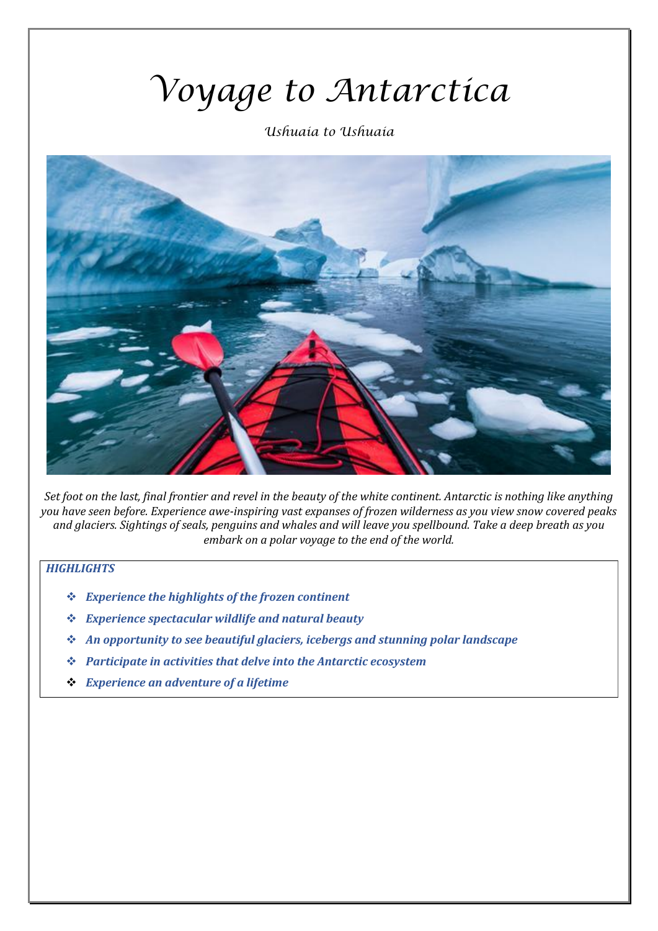# *Voyage to Antarctica*

*Ushuaia to Ushuaia*



Set foot on the last, final frontier and revel in the beauty of the white continent. Antarctic is nothing like anything *you have seen before. Experience awe-inspiring vast expanses of frozen wilderness as you view snow covered peaks and glaciers. Sightings of seals, penguins and whales and will leave you spellbound. Take a deep breath as you embark on a polar voyage to the end of the world.* 

# *HIGHLIGHTS*

- ❖ *Experience the highlights of the frozen continent*
- ❖ *Experience spectacular wildlife and natural beauty*
- ❖ *An opportunity to see beautiful glaciers, icebergs and stunning polar landscape*
- ❖ *Participate in activities that delve into the Antarctic ecosystem*
- ❖ *Experience an adventure of a lifetime*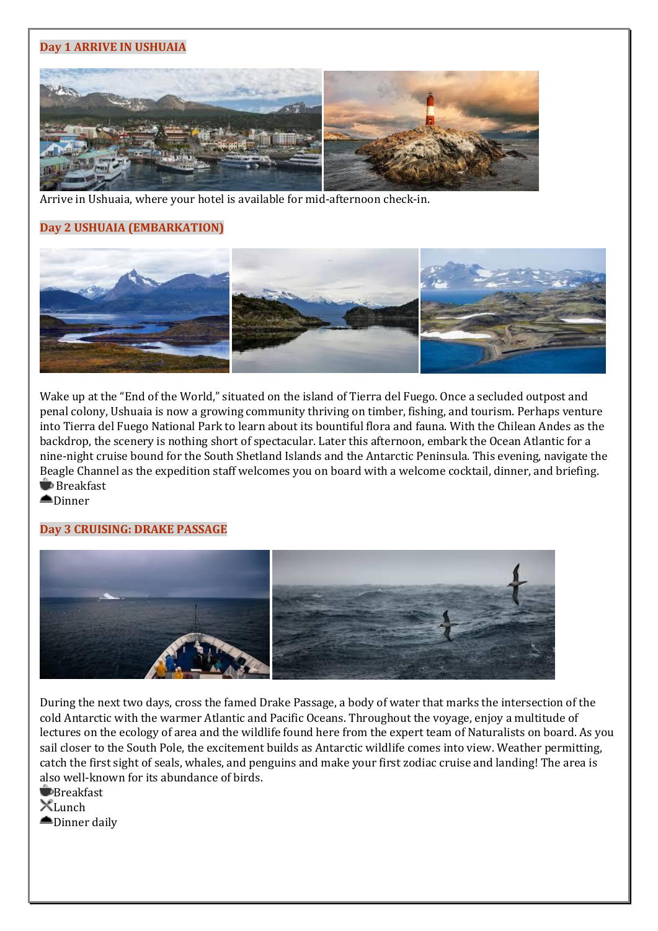# **Day 1 ARRIVE IN USHUAIA**



Arrive in Ushuaia, where your hotel is available for mid-afternoon check-in.

# **Day 2 USHUAIA (EMBARKATION)**



Wake up at the "End of the World," situated on the island of Tierra del Fuego. Once a secluded outpost and penal colony, Ushuaia is now a growing community thriving on timber, fishing, and tourism. Perhaps venture into Tierra del Fuego National Park to learn about its bountiful flora and fauna. With the Chilean Andes as the backdrop, the scenery is nothing short of spectacular. Later this afternoon, embark the Ocean Atlantic for a nine-night cruise bound for the South Shetland Islands and the Antarctic Peninsula. This evening, navigate the Beagle Channel as the expedition staff welcomes you on board with a welcome cocktail, dinner, and briefing. **■**Breakfast

**≜Dinner** 

# **Day 3 CRUISING: DRAKE PASSAGE**



During the next two days, cross the famed Drake Passage, a body of water that marks the intersection of the cold Antarctic with the warmer Atlantic and Pacific Oceans. Throughout the voyage, enjoy a multitude of lectures on the ecology of area and the wildlife found here from the expert team of Naturalists on board. As you sail closer to the South Pole, the excitement builds as Antarctic wildlife comes into view. Weather permitting, catch the first sight of seals, whales, and penguins and make your first zodiac cruise and landing! The area is also well-known for its abundance of birds.

**Breakfast**  $X$ Lunch **■Dinner daily**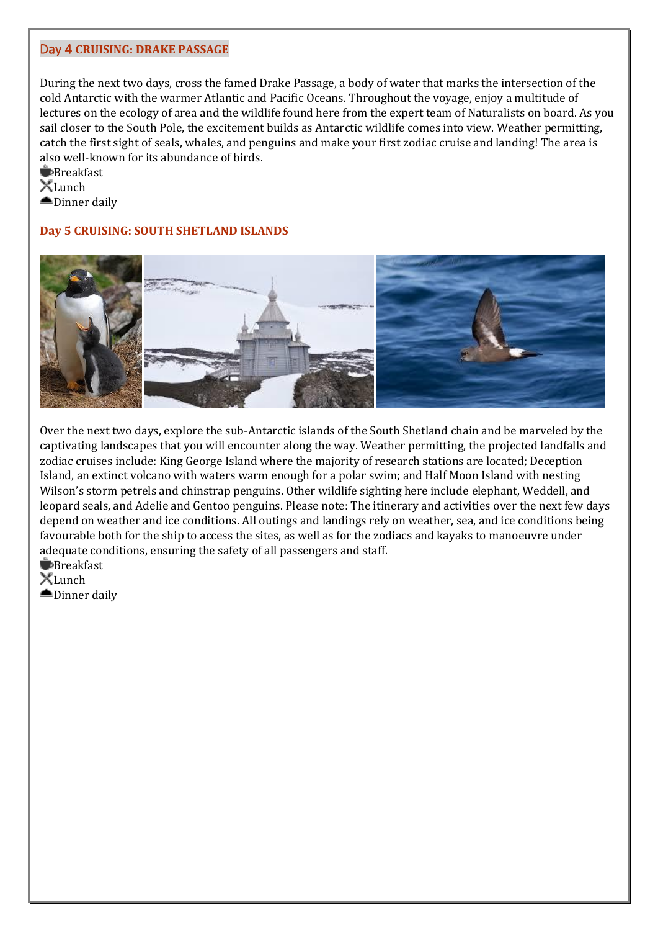#### Day 4 **CRUISING: DRAKE PASSAGE**

During the next two days, cross the famed Drake Passage, a body of water that marks the intersection of the cold Antarctic with the warmer Atlantic and Pacific Oceans. Throughout the voyage, enjoy a multitude of lectures on the ecology of area and the wildlife found here from the expert team of Naturalists on board. As you sail closer to the South Pole, the excitement builds as Antarctic wildlife comes into view. Weather permitting, catch the first sight of seals, whales, and penguins and make your first zodiac cruise and landing! The area is also well-known for its abundance of birds.

**Breakfast**  $X$ Lunch **■Dinner daily** 

## **Day 5 CRUISING: SOUTH SHETLAND ISLANDS**



Over the next two days, explore the sub-Antarctic islands of the South Shetland chain and be marveled by the captivating landscapes that you will encounter along the way. Weather permitting, the projected landfalls and zodiac cruises include: King George Island where the majority of research stations are located; Deception Island, an extinct volcano with waters warm enough for a polar swim; and Half Moon Island with nesting Wilson's storm petrels and chinstrap penguins. Other wildlife sighting here include elephant, Weddell, and leopard seals, and Adelie and Gentoo penguins. Please note: The itinerary and activities over the next few days depend on weather and ice conditions. All outings and landings rely on weather, sea, and ice conditions being favourable both for the ship to access the sites, as well as for the zodiacs and kayaks to manoeuvre under adequate conditions, ensuring the safety of all passengers and staff.

**B**reakfast

 $X$ Lunch

**■Dinner daily**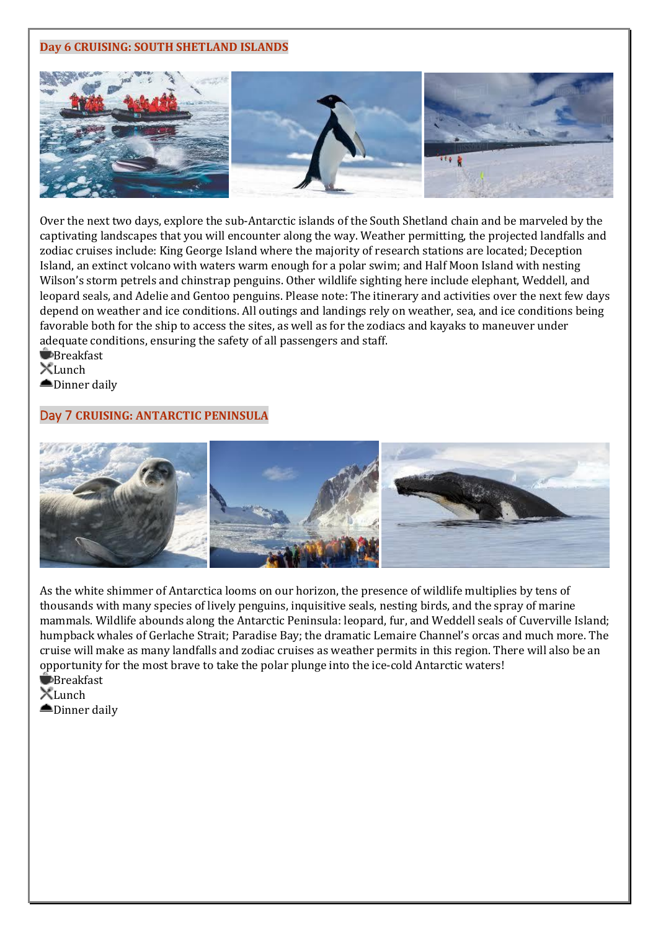#### **Day 6 CRUISING: SOUTH SHETLAND ISLANDS**



Over the next two days, explore the sub-Antarctic islands of the South Shetland chain and be marveled by the captivating landscapes that you will encounter along the way. Weather permitting, the projected landfalls and zodiac cruises include: King George Island where the majority of research stations are located; Deception Island, an extinct volcano with waters warm enough for a polar swim; and Half Moon Island with nesting Wilson's storm petrels and chinstrap penguins. Other wildlife sighting here include elephant, Weddell, and leopard seals, and Adelie and Gentoo penguins. Please note: The itinerary and activities over the next few days depend on weather and ice conditions. All outings and landings rely on weather, sea, and ice conditions being favorable both for the ship to access the sites, as well as for the zodiacs and kayaks to maneuver under adequate conditions, ensuring the safety of all passengers and staff.

**B**reakfast  $X$ Lunch

**■Dinner daily** 

## Day 7 **CRUISING: ANTARCTIC PENINSULA**



As the white shimmer of Antarctica looms on our horizon, the presence of wildlife multiplies by tens of thousands with many species of lively penguins, inquisitive seals, nesting birds, and the spray of marine mammals. Wildlife abounds along the Antarctic Peninsula: leopard, fur, and Weddell seals of Cuverville Island; humpback whales of Gerlache Strait; Paradise Bay; the dramatic Lemaire Channel's orcas and much more. The cruise will make as many landfalls and zodiac cruises as weather permits in this region. There will also be an opportunity for the most brave to take the polar plunge into the ice-cold Antarctic waters!

**Breakfast**  $X$ Lunch

**■Dinner daily**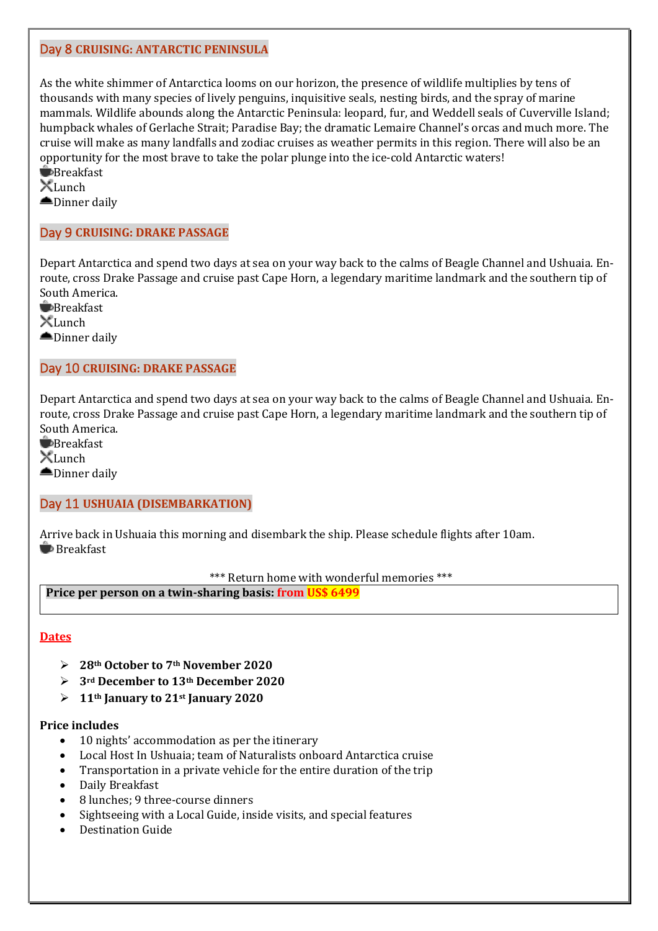## Day 8 **CRUISING: ANTARCTIC PENINSULA**

As the white shimmer of Antarctica looms on our horizon, the presence of wildlife multiplies by tens of thousands with many species of lively penguins, inquisitive seals, nesting birds, and the spray of marine mammals. Wildlife abounds along the Antarctic Peninsula: leopard, fur, and Weddell seals of Cuverville Island; humpback whales of Gerlache Strait; Paradise Bay; the dramatic Lemaire Channel's orcas and much more. The cruise will make as many landfalls and zodiac cruises as weather permits in this region. There will also be an opportunity for the most brave to take the polar plunge into the ice-cold Antarctic waters! **Breakfast** 

 $X$ Lunch **■Dinner daily** 

## Day 9 **CRUISING: DRAKE PASSAGE**

Depart Antarctica and spend two days at sea on your way back to the calms of Beagle Channel and Ushuaia. Enroute, cross Drake Passage and cruise past Cape Horn, a legendary maritime landmark and the southern tip of South America.

**Breakfast**  $X$ Lunch **■Dinner daily** 

## Day 10 **CRUISING: DRAKE PASSAGE**

Depart Antarctica and spend two days at sea on your way back to the calms of Beagle Channel and Ushuaia. Enroute, cross Drake Passage and cruise past Cape Horn, a legendary maritime landmark and the southern tip of South America.

**E**Breakfast XLunch

**■Dinner daily** 

#### Day 11 **USHUAIA (DISEMBARKATION)**

Arrive back in Ushuaia this morning and disembark the ship. Please schedule flights after 10am. **Breakfast** 

\*\*\* Return home with wonderful memories \*\*\*

**Price per person on a twin-sharing basis: from US\$ 6499**

#### **Dates**

- ➢ **28th October to 7th November 2020**
- ➢ **3rd December to 13th December 2020**
- $\geq 11$ <sup>th</sup> January to 21<sup>st</sup> January 2020

#### **Price includes**

- 10 nights' accommodation as per the itinerary
- Local Host In Ushuaia; team of Naturalists onboard Antarctica cruise
- Transportation in a private vehicle for the entire duration of the trip
- Daily Breakfast
- 8 lunches; 9 three-course dinners
- Sightseeing with a Local Guide, inside visits, and special features
- Destination Guide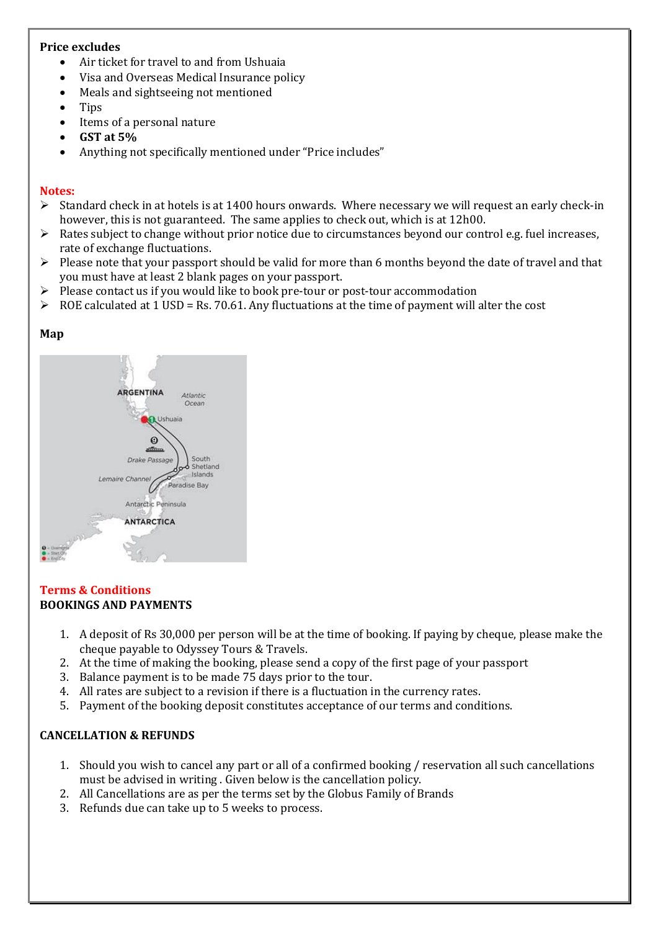#### **Price excludes**

- Air ticket for travel to and from Ushuaia
- Visa and Overseas Medical Insurance policy
- Meals and sightseeing not mentioned
- Tips
- Items of a personal nature
- **GST at 5%**
- Anything not specifically mentioned under "Price includes"

#### **Notes:**

- $\triangleright$  Standard check in at hotels is at 1400 hours onwards. Where necessary we will request an early check-in however, this is not guaranteed. The same applies to check out, which is at 12h00.
- ➢ Rates subject to change without prior notice due to circumstances beyond our control e.g. fuel increases, rate of exchange fluctuations.
- $\triangleright$  Please note that your passport should be valid for more than 6 months beyond the date of travel and that you must have at least 2 blank pages on your passport.
- ➢ Please contact us if you would like to book pre-tour or post-tour accommodation
- $\triangleright$  ROE calculated at 1 USD = Rs. 70.61. Any fluctuations at the time of payment will alter the cost

# **Map**



#### **Terms & Conditions BOOKINGS AND PAYMENTS**

- 1. A deposit of Rs 30,000 per person will be at the time of booking. If paying by cheque, please make the cheque payable to Odyssey Tours & Travels.
- 2. At the time of making the booking, please send a copy of the first page of your passport
- 3. Balance payment is to be made 75 days prior to the tour.
- 4. All rates are subject to a revision if there is a fluctuation in the currency rates.
- 5. Payment of the booking deposit constitutes acceptance of our terms and conditions.

# **CANCELLATION & REFUNDS**

- 1. Should you wish to cancel any part or all of a confirmed booking / reservation all such cancellations must be advised in writing . Given below is the cancellation policy.
- 2. All Cancellations are as per the terms set by the Globus Family of Brands
- 3. Refunds due can take up to 5 weeks to process.